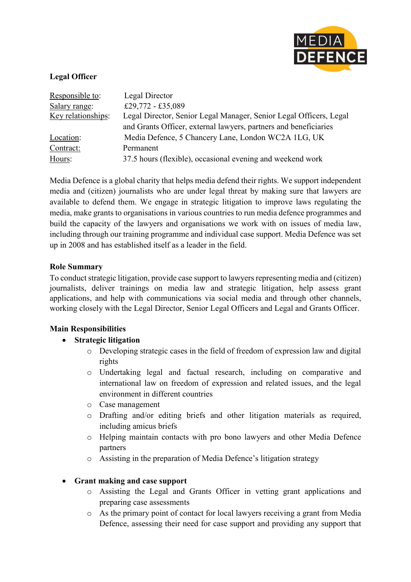

## **Legal Officer**

| Responsible to:    | Legal Director                                                     |
|--------------------|--------------------------------------------------------------------|
| Salary range:      | £29,772 - £35,089                                                  |
| Key relationships: | Legal Director, Senior Legal Manager, Senior Legal Officers, Legal |
|                    | and Grants Officer, external lawyers, partners and beneficiaries   |
| Location:          | Media Defence, 5 Chancery Lane, London WC2A 1LG, UK                |
| Contract:          | Permanent                                                          |
| Hours:             | 37.5 hours (flexible), occasional evening and weekend work         |

Media Defence is a global charity that helps media defend their rights. We support independent media and (citizen) journalists who are under legal threat by making sure that lawyers are available to defend them. We engage in strategic litigation to improve laws regulating the media, make grants to organisations in various countries to run media defence programmes and build the capacity of the lawyers and organisations we work with on issues of media law, including through our training programme and individual case support. Media Defence was set up in 2008 and has established itself as a leader in the field.

### **Role Summary**

To conduct strategic litigation, provide case support to lawyers representing media and (citizen) journalists, deliver trainings on media law and strategic litigation, help assess grant applications, and help with communications via social media and through other channels, working closely with the Legal Director, Senior Legal Officers and Legal and Grants Officer.

#### **Main Responsibilities**

- **Strategic litigation**
	- o Developing strategic cases in the field of freedom of expression law and digital rights
	- o Undertaking legal and factual research, including on comparative and international law on freedom of expression and related issues, and the legal environment in different countries
	- o Case management
	- o Drafting and/or editing briefs and other litigation materials as required, including amicus briefs
	- o Helping maintain contacts with pro bono lawyers and other Media Defence partners
	- o Assisting in the preparation of Media Defence's litigation strategy

#### • **Grant making and case support**

- o Assisting the Legal and Grants Officer in vetting grant applications and preparing case assessments
- o As the primary point of contact for local lawyers receiving a grant from Media Defence, assessing their need for case support and providing any support that